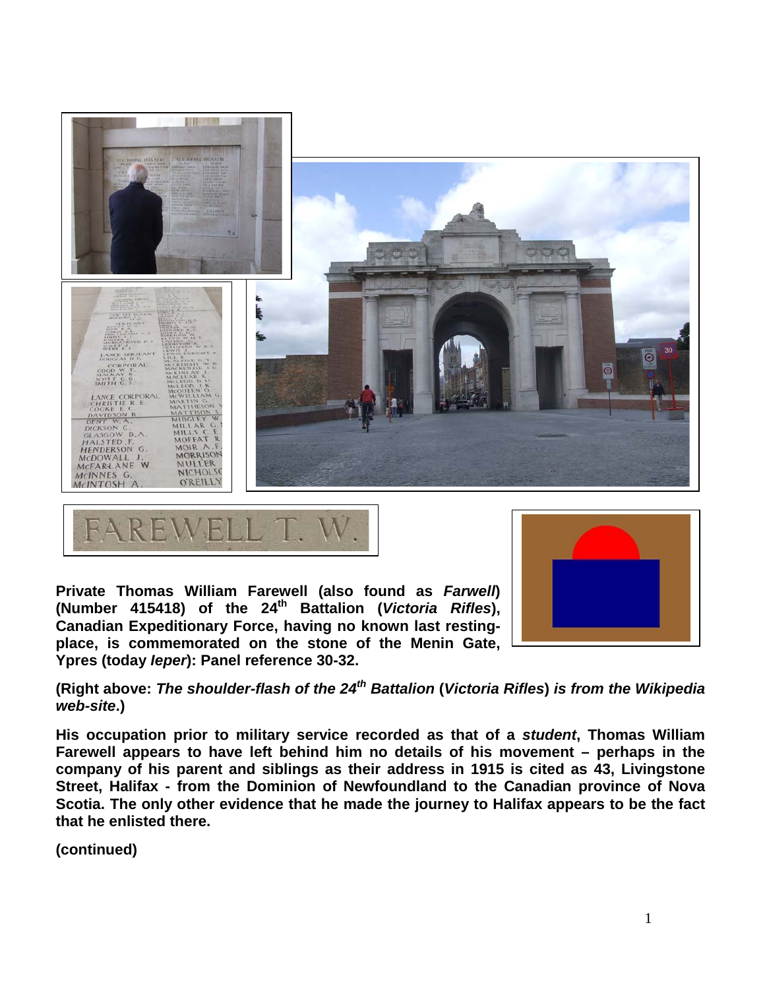



**Private Thomas William Farewell (also found as** *Farwell***) (Number 415418) of the 24th Battalion (***Victoria Rifles***), Canadian Expeditionary Force, having no known last restingplace, is commemorated on the stone of the Menin Gate, Ypres (today** *Ieper***): Panel reference 30-32.**



**(Right above:** *The shoulder-flash of the 24th Battalion* **(***Victoria Rifles***)** *is from the Wikipedia web-site***.)**

**His occupation prior to military service recorded as that of a** *student***, Thomas William Farewell appears to have left behind him no details of his movement – perhaps in the company of his parent and siblings as their address in 1915 is cited as 43, Livingstone Street, Halifax - from the Dominion of Newfoundland to the Canadian province of Nova Scotia. The only other evidence that he made the journey to Halifax appears to be the fact that he enlisted there.**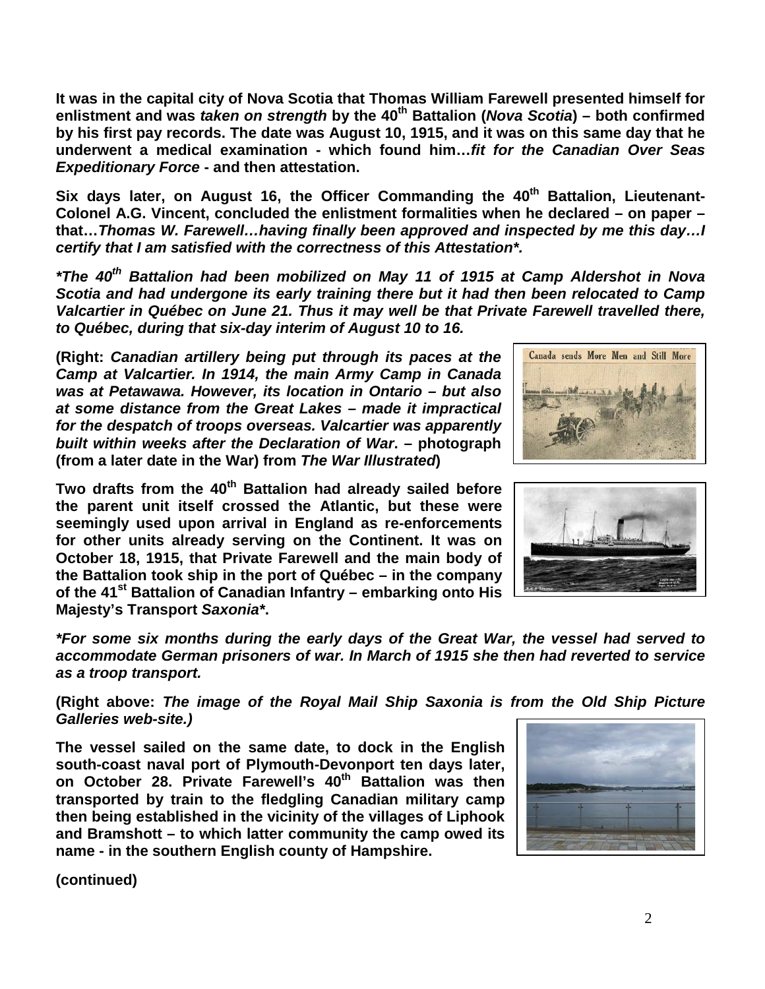**It was in the capital city of Nova Scotia that Thomas William Farewell presented himself for enlistment and was** *taken on strength* **by the 40th Battalion (***Nova Scotia***) – both confirmed by his first pay records. The date was August 10, 1915, and it was on this same day that he underwent a medical examination - which found him…***fit for the Canadian Over Seas Expeditionary Force* **- and then attestation.** 

Six days later, on August 16, the Officer Commanding the 40<sup>th</sup> Battalion, Lieutenant-**Colonel A.G. Vincent, concluded the enlistment formalities when he declared – on paper – that…***Thomas W. Farewell…having finally been approved and inspected by me this day…I certify that I am satisfied with the correctness of this Attestation\*.*

*\*The 40th Battalion had been mobilized on May 11 of 1915 at Camp Aldershot in Nova Scotia and had undergone its early training there but it had then been relocated to Camp Valcartier in Québec on June 21. Thus it may well be that Private Farewell travelled there, to Québec, during that six-day interim of August 10 to 16.*

**(Right:** *Canadian artillery being put through its paces at the Camp at Valcartier. In 1914, the main Army Camp in Canada was at Petawawa. However, its location in Ontario – but also at some distance from the Great Lakes – made it impractical for the despatch of troops overseas. Valcartier was apparently built within weeks after the Declaration of War***. – photograph (from a later date in the War) from** *The War Illustrated***)** 

**Two drafts from the 40th Battalion had already sailed before the parent unit itself crossed the Atlantic, but these were seemingly used upon arrival in England as re-enforcements for other units already serving on the Continent. It was on October 18, 1915, that Private Farewell and the main body of the Battalion took ship in the port of Québec – in the company of the 41st Battalion of Canadian Infantry – embarking onto His Majesty's Transport** *Saxonia\****.**

Canada sends More Men and Still More



*\*For some six months during the early days of the Great War, the vessel had served to accommodate German prisoners of war. In March of 1915 she then had reverted to service as a troop transport.* 

**(Right above:** *The image of the Royal Mail Ship Saxonia is from the Old Ship Picture Galleries web-site.)*

**The vessel sailed on the same date, to dock in the English south-coast naval port of Plymouth-Devonport ten days later,**  on October 28. Private Farewell's 40<sup>th</sup> Battalion was then **transported by train to the fledgling Canadian military camp then being established in the vicinity of the villages of Liphook and Bramshott – to which latter community the camp owed its name - in the southern English county of Hampshire.** 

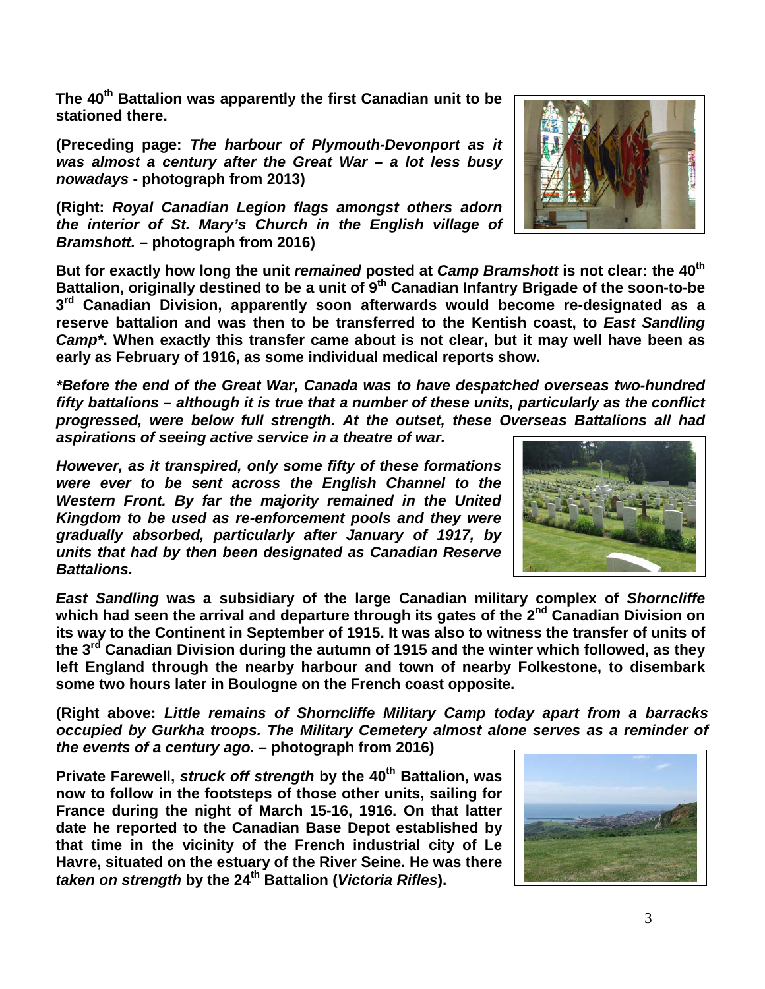**The 40th Battalion was apparently the first Canadian unit to be stationed there.** 

**(Preceding page:** *The harbour of Plymouth-Devonport as it was almost a century after the Great War – a lot less busy nowadays* **- photograph from 2013)**

**(Right:** *Royal Canadian Legion flags amongst others adorn the interior of St. Mary's Church in the English village of Bramshott.* **– photograph from 2016)**

**But for exactly how long the unit** *remained* **posted at** *Camp Bramshott* **is not clear: the 40th Battalion, originally destined to be a unit of 9th Canadian Infantry Brigade of the soon-to-be 3rd Canadian Division, apparently soon afterwards would become re-designated as a reserve battalion and was then to be transferred to the Kentish coast, to** *East Sandling Camp\****. When exactly this transfer came about is not clear, but it may well have been as early as February of 1916, as some individual medical reports show.**

*\*Before the end of the Great War, Canada was to have despatched overseas two-hundred fifty battalions – although it is true that a number of these units, particularly as the conflict progressed, were below full strength. At the outset, these Overseas Battalions all had aspirations of seeing active service in a theatre of war.*

*However, as it transpired, only some fifty of these formations were ever to be sent across the English Channel to the Western Front. By far the majority remained in the United Kingdom to be used as re-enforcement pools and they were gradually absorbed, particularly after January of 1917, by units that had by then been designated as Canadian Reserve Battalions.*

*East Sandling* **was a subsidiary of the large Canadian military complex of** *Shorncliffe* **which had seen the arrival and departure through its gates of the 2nd Canadian Division on its way to the Continent in September of 1915. It was also to witness the transfer of units of the 3rd Canadian Division during the autumn of 1915 and the winter which followed, as they left England through the nearby harbour and town of nearby Folkestone, to disembark some two hours later in Boulogne on the French coast opposite.**

**(Right above:** *Little remains of Shorncliffe Military Camp today apart from a barracks occupied by Gurkha troops. The Military Cemetery almost alone serves as a reminder of the events of a century ago.* **– photograph from 2016)**

**Private Farewell,** *struck off strength* **by the 40<sup>th</sup> Battalion, was now to follow in the footsteps of those other units, sailing for France during the night of March 15-16, 1916. On that latter date he reported to the Canadian Base Depot established by that time in the vicinity of the French industrial city of Le Havre, situated on the estuary of the River Seine. He was there**  *taken on strength* **by the 24th Battalion (***Victoria Rifles***).**







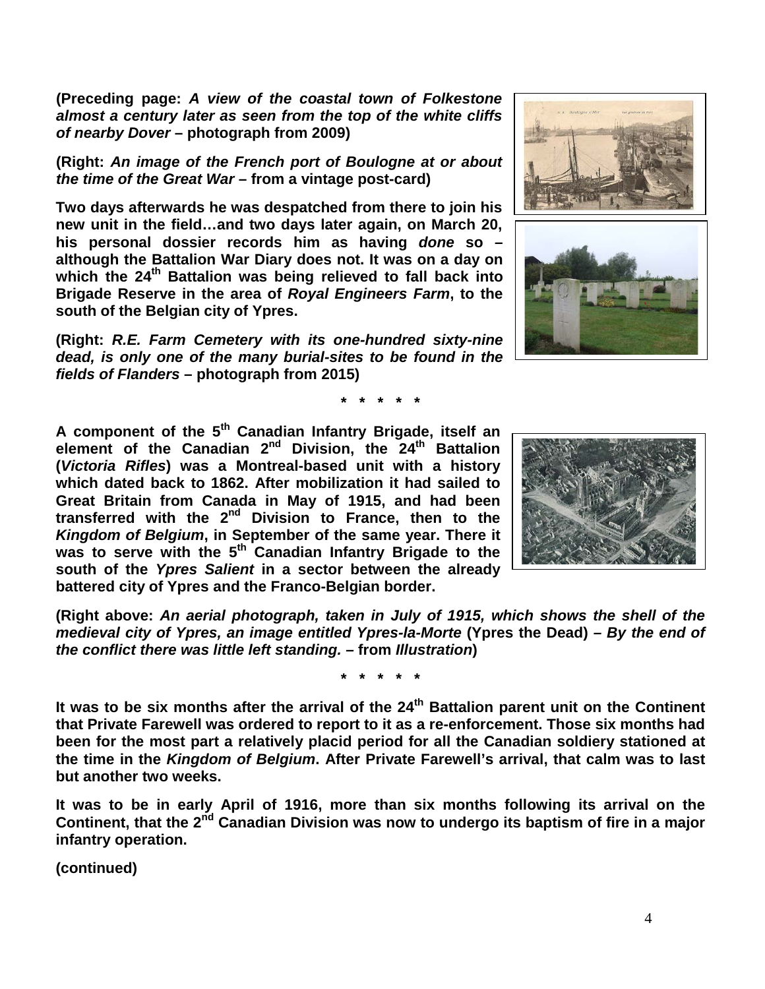**(Preceding page:** *A view of the coastal town of Folkestone almost a century later as seen from the top of the white cliffs of nearby Dover* **– photograph from 2009)**

**(Right:** *An image of the French port of Boulogne at or about the time of the Great War* **– from a vintage post-card)**

**Two days afterwards he was despatched from there to join his new unit in the field…and two days later again, on March 20, his personal dossier records him as having** *done* **so – although the Battalion War Diary does not. It was on a day on which the 24th Battalion was being relieved to fall back into Brigade Reserve in the area of** *Royal Engineers Farm***, to the south of the Belgian city of Ypres.**

**(Right:** *R.E. Farm Cemetery with its one-hundred sixty-nine dead, is only one of the many burial-sites to be found in the fields of Flanders* **– photograph from 2015)**





**\* \* \* \* \***

**A component of the 5th Canadian Infantry Brigade, itself an element of the Canadian 2nd Division, the 24th Battalion (***Victoria Rifles***) was a Montreal-based unit with a history which dated back to 1862. After mobilization it had sailed to Great Britain from Canada in May of 1915, and had been transferred with the 2nd Division to France, then to the**  *Kingdom of Belgium***, in September of the same year. There it**  was to serve with the 5<sup>th</sup> Canadian Infantry Brigade to the **south of the** *Ypres Salient* **in a sector between the already battered city of Ypres and the Franco-Belgian border.**



**(Right above:** *An aerial photograph, taken in July of 1915, which shows the shell of the medieval city of Ypres, an image entitled Ypres-la-Morte* **(Ypres the Dead)** *– By the end of the conflict there was little left standing. –* **from** *Illustration***)**

**\* \* \* \* \***

**It was to be six months after the arrival of the 24th Battalion parent unit on the Continent that Private Farewell was ordered to report to it as a re-enforcement. Those six months had been for the most part a relatively placid period for all the Canadian soldiery stationed at the time in the** *Kingdom of Belgium***. After Private Farewell's arrival, that calm was to last but another two weeks.**

**It was to be in early April of 1916, more than six months following its arrival on the Continent, that the 2nd Canadian Division was now to undergo its baptism of fire in a major infantry operation.**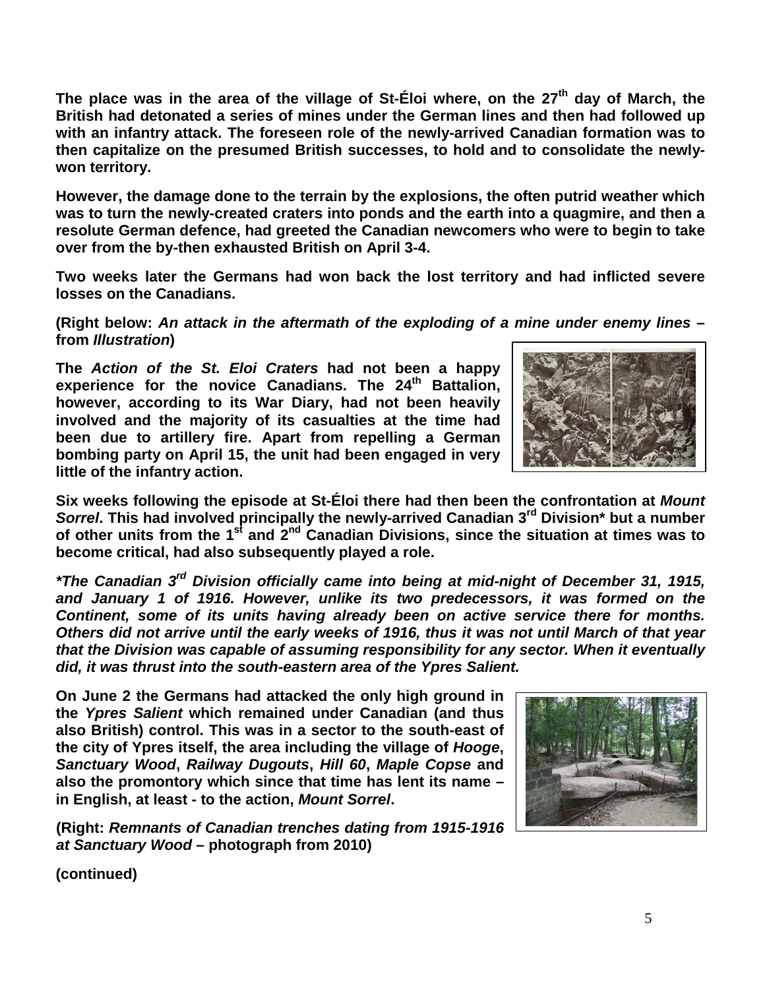**The place was in the area of the village of St-Éloi where, on the 27th day of March, the British had detonated a series of mines under the German lines and then had followed up with an infantry attack. The foreseen role of the newly-arrived Canadian formation was to then capitalize on the presumed British successes, to hold and to consolidate the newlywon territory.**

**However, the damage done to the terrain by the explosions, the often putrid weather which was to turn the newly-created craters into ponds and the earth into a quagmire, and then a resolute German defence, had greeted the Canadian newcomers who were to begin to take over from the by-then exhausted British on April 3-4.** 

**Two weeks later the Germans had won back the lost territory and had inflicted severe losses on the Canadians.**

**(Right below:** *An attack in the aftermath of the exploding of a mine under enemy lines* **– from** *Illustration***)**

**The** *Action of the St. Eloi Craters* **had not been a happy experience for the novice Canadians. The 24th Battalion, however, according to its War Diary, had not been heavily involved and the majority of its casualties at the time had been due to artillery fire. Apart from repelling a German bombing party on April 15, the unit had been engaged in very little of the infantry action.**



**Six weeks following the episode at St-Éloi there had then been the confrontation at** *Mount Sorrel***. This had involved principally the newly-arrived Canadian 3rd Division\* but a number of other units from the 1st and 2nd Canadian Divisions, since the situation at times was to become critical, had also subsequently played a role.**

*\*The Canadian 3rd Division officially came into being at mid-night of December 31, 1915, and January 1 of 1916. However, unlike its two predecessors, it was formed on the Continent, some of its units having already been on active service there for months. Others did not arrive until the early weeks of 1916, thus it was not until March of that year that the Division was capable of assuming responsibility for any sector. When it eventually did, it was thrust into the south-eastern area of the Ypres Salient.*

**On June 2 the Germans had attacked the only high ground in the** *Ypres Salient* **which remained under Canadian (and thus also British) control. This was in a sector to the south-east of the city of Ypres itself, the area including the village of** *Hooge***,**  *Sanctuary Wood***,** *Railway Dugouts***,** *Hill 60***,** *Maple Copse* **and also the promontory which since that time has lent its name – in English, at least - to the action,** *Mount Sorrel***.**

**(Right:** *Remnants of Canadian trenches dating from 1915-1916 at Sanctuary Wood* **– photograph from 2010)**

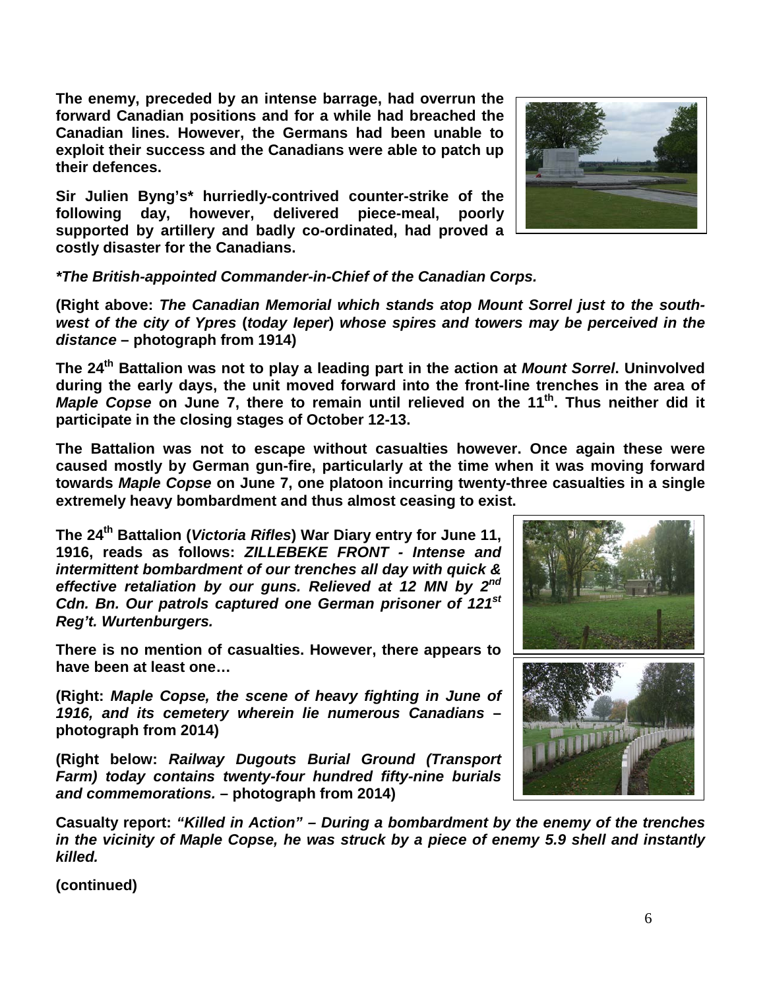**The enemy, preceded by an intense barrage, had overrun the forward Canadian positions and for a while had breached the Canadian lines. However, the Germans had been unable to exploit their success and the Canadians were able to patch up their defences.** 

**Sir Julien Byng's\* hurriedly-contrived counter-strike of the following day, however, delivered piece-meal, poorly supported by artillery and badly co-ordinated, had proved a costly disaster for the Canadians.**

*\*The British-appointed Commander-in-Chief of the Canadian Corps.*

**(Right above:** *The Canadian Memorial which stands atop Mount Sorrel just to the southwest of the city of Ypres* **(***today Ieper***)** *whose spires and towers may be perceived in the distance* **– photograph from 1914)**

**The 24th Battalion was not to play a leading part in the action at** *Mount Sorrel***. Uninvolved during the early days, the unit moved forward into the front-line trenches in the area of**  *Maple Copse* on June 7, there to remain until relieved on the 11<sup>th</sup>. Thus neither did it **participate in the closing stages of October 12-13.**

**The Battalion was not to escape without casualties however. Once again these were caused mostly by German gun-fire, particularly at the time when it was moving forward towards** *Maple Copse* **on June 7, one platoon incurring twenty-three casualties in a single extremely heavy bombardment and thus almost ceasing to exist.**

**The 24th Battalion (***Victoria Rifles***) War Diary entry for June 11, 1916, reads as follows:** *ZILLEBEKE FRONT - Intense and intermittent bombardment of our trenches all day with quick & effective retaliation by our guns. Relieved at 12 MN by 2nd Cdn. Bn. Our patrols captured one German prisoner of 121st Reg't. Wurtenburgers.*

**There is no mention of casualties. However, there appears to have been at least one…**

**(Right:** *Maple Copse, the scene of heavy fighting in June of 1916, and its cemetery wherein lie numerous Canadians* **– photograph from 2014)**

**(Right below:** *Railway Dugouts Burial Ground (Transport Farm) today contains twenty-four hundred fifty-nine burials and commemorations.* **– photograph from 2014)**

**Casualty report:** *"Killed in Action" – During a bombardment by the enemy of the trenches in the vicinity of Maple Copse, he was struck by a piece of enemy 5.9 shell and instantly killed.*